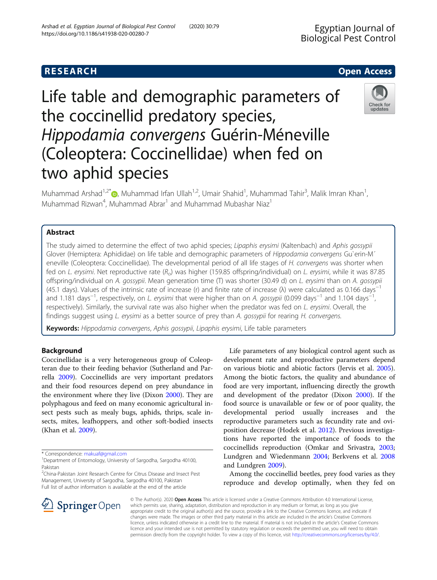# **RESEARCH CHE Open Access**

# Life table and demographic parameters of the coccinellid predatory species, Hippodamia convergens Guérin-Méneville (Coleoptera: Coccinellidae) when fed on two aphid species

Muhammad Arshad<sup>1,2\*</sup>�, Muhammad Irfan Ullah<sup>1,2</sup>, Umair Shahid<sup>1</sup>, Muhammad Tahir<sup>3</sup>, Malik Imran Khan<sup>1</sup> , Muhammad Rizwan<sup>4</sup>, Muhammad Abrar<sup>1</sup> and Muhammad Mubashar Niaz<sup>1</sup>

# Abstract

The study aimed to determine the effect of two aphid species; Lipaphis erysimi (Kaltenbach) and Aphis gossypii Glover (Hemiptera: Aphididae) on life table and demographic parameters of Hippodamia convergens Gu`erin-M<sup>^</sup> eneville (Coleoptera: Coccinellidae). The developmental period of all life stages of H. convergens was shorter when fed on L. erysimi. Net reproductive rate  $(R_0)$  was higher (159.85 offspring/individual) on L. erysimi, while it was 87.85 offspring/individual on A. gossypii. Mean generation time (T) was shorter (30.49 d) on L. erysimi than on A. gossypii (45.1 days). Values of the intrinsic rate of increase (r) and finite rate of increase (λ) were calculated as 0.166 days−<sup>1</sup> and 1.181 days<sup>−1</sup>, respectively, on L. erysimi that were higher than on A. gossypii (0.099 days<sup>−1</sup> and 1.104 days<sup>−1</sup> , respectively). Similarly, the survival rate was also higher when the predator was fed on L. erysimi. Overall, the findings suggest using L. erysimi as a better source of prey than A. gossypii for rearing H. convergens.

Keywords: Hippodamia convergens, Aphis gossypii, Lipaphis erysimi, Life table parameters

# Background

Coccinellidae is a very heterogeneous group of Coleopteran due to their feeding behavior (Sutherland and Parrella [2009](#page-7-0)). Coccinellids are very important predators and their food resources depend on prey abundance in the environment where they live (Dixon [2000](#page-6-0)). They are polyphagous and feed on many economic agricultural insect pests such as mealy bugs, aphids, thrips, scale insects, mites, leafhoppers, and other soft-bodied insects (Khan et al. [2009\)](#page-7-0).

SpringerOpen

<sup>2</sup>China-Pakistan Joint Research Centre for Citrus Disease and Insect Pest Management, University of Sargodha, Sargodha 40100, Pakistan Full list of author information is available at the end of the article

Life parameters of any biological control agent such as development rate and reproductive parameters depend on various biotic and abiotic factors (Jervis et al. [2005](#page-6-0)). Among the biotic factors, the quality and abundance of food are very important, influencing directly the growth and development of the predator (Dixon [2000\)](#page-6-0). If the food source is unavailable or few or of poor quality, the developmental period usually increases and the reproductive parameters such as fecundity rate and oviposition decrease (Hodek et al. [2012\)](#page-6-0). Previous investigations have reported the importance of foods to the coccinellids reproduction (Omkar and Srivastra, [2003](#page-7-0); Lundgren and Wiedenmann [2004;](#page-7-0) Berkvens et al. [2008](#page-6-0) and Lundgren [2009\)](#page-7-0).

Among the coccinellid beetles, prey food varies as they reproduce and develop optimally, when they fed on

© The Author(s). 2020 Open Access This article is licensed under a Creative Commons Attribution 4.0 International License, which permits use, sharing, adaptation, distribution and reproduction in any medium or format, as long as you give appropriate credit to the original author(s) and the source, provide a link to the Creative Commons licence, and indicate if changes were made. The images or other third party material in this article are included in the article's Creative Commons licence, unless indicated otherwise in a credit line to the material. If material is not included in the article's Creative Commons licence and your intended use is not permitted by statutory regulation or exceeds the permitted use, you will need to obtain permission directly from the copyright holder. To view a copy of this licence, visit <http://creativecommons.org/licenses/by/4.0/>.





<sup>\*</sup> Correspondence: [makuaf@gmail.com](mailto:makuaf@gmail.com) <sup>1</sup>

<sup>&</sup>lt;sup>1</sup>Department of Entomology, University of Sargodha, Sargodha 40100, Pakistan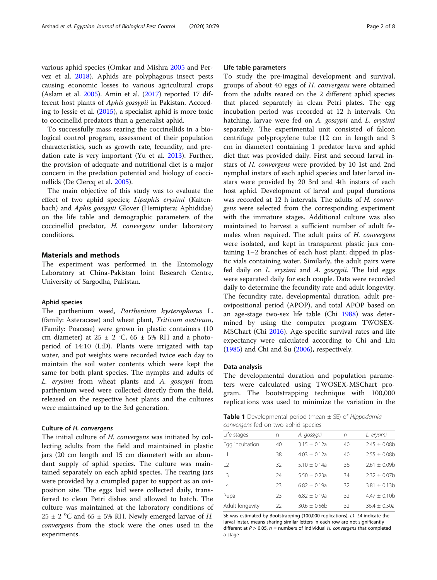<span id="page-1-0"></span>various aphid species (Omkar and Mishra [2005](#page-7-0) and Pervez et al. [2018](#page-7-0)). Aphids are polyphagous insect pests causing economic losses to various agricultural crops (Aslam et al. [2005\)](#page-6-0). Amin et al. [\(2017\)](#page-6-0) reported 17 different host plants of Aphis gossypii in Pakistan. According to Jessie et al. [\(2015\)](#page-7-0), a specialist aphid is more toxic to coccinellid predators than a generalist aphid.

To successfully mass rearing the coccinellids in a biological control program, assessment of their population characteristics, such as growth rate, fecundity, and predation rate is very important (Yu et al. [2013](#page-7-0)). Further, the provision of adequate and nutritional diet is a major concern in the predation potential and biology of coccinellids (De Clercq et al. [2005\)](#page-6-0).

The main objective of this study was to evaluate the effect of two aphid species; Lipaphis erysimi (Kaltenbach) and Aphis gossypii Glover (Hemiptera: Aphididae) on the life table and demographic parameters of the coccinellid predator, H. <sup>c</sup>onvergens under laboratory conditions.

# Materials and methods

The experiment was performed in the Entomology Laboratory at China-Pakistan Joint Research Centre, University of Sargodha, Pakistan.

## Aphid species

The parthenium weed, Parthenium hysterophorus L. (family: Asteraceae) and wheat plant, Triticum aestivum, (Family: Poaceae) were grown in plastic containers (10 cm diameter) at  $25 \pm 2$  °C,  $65 \pm 5$ % RH and a photoperiod of 14:10 (L:D). Plants were irrigated with tap water, and pot weights were recorded twice each day to maintain the soil water contents which were kept the same for both plant species. The nymphs and adults of L. erysimi from wheat plants and A. gossypii from parthenium weed were collected directly from the field, released on the respective host plants and the cultures were maintained up to the 3rd generation.

### Culture of H. convergens

The initial culture of *H. convergens* was initiated by collecting adults from the field and maintained in plastic jars (20 cm length and 15 cm diameter) with an abundant supply of aphid species. The culture was maintained separately on each aphid species. The rearing jars were provided by a crumpled paper to support as an oviposition site. The eggs laid were collected daily, transferred to clean Petri dishes and allowed to hatch. The culture was maintained at the laboratory conditions of  $25 \pm 2$  °C and  $65 \pm 5$ % RH. Newly emerged larvae of *H.*<br>convergens from the stock were the ones used in the convergens from the stock were the ones used in the experiments.

## Life table parameters

To study the pre-imaginal development and survival, groups of about 40 eggs of H. convergens were obtained from the adults reared on the 2 different aphid species that placed separately in clean Petri plates. The egg incubation period was recorded at 12 h intervals. On hatching, larvae were fed on A. gossypii and L. erysimi separately. The experimental unit consisted of falcon centrifuge polypropylene tube (12 cm in length and 3 cm in diameter) containing 1 predator larva and aphid diet that was provided daily. First and second larval instars of H. convergens were provided by 10 1st and 2nd nymphal instars of each aphid species and later larval instars were provided by 20 3rd and 4th instars of each host aphid. Development of larval and pupal durations was recorded at 12 h intervals. The adults of H. convergens were selected from the corresponding experiment with the immature stages. Additional culture was also maintained to harvest a sufficient number of adult females when required. The adult pairs of H. convergens were isolated, and kept in transparent plastic jars containing 1–2 branches of each host plant; dipped in plastic vials containing water. Similarly, the adult pairs were fed daily on L. erysimi and A. gossypii. The laid eggs were separated daily for each couple. Data were recorded daily to determine the fecundity rate and adult longevity. The fecundity rate, developmental duration, adult preovipositional period (APOP), and total APOP based on an age-stage two-sex life table (Chi [1988](#page-6-0)) was determined by using the computer program TWOSEX-MSChart (Chi [2016\)](#page-6-0). Age-specific survival rates and life expectancy were calculated according to Chi and Liu ([1985\)](#page-6-0) and Chi and Su [\(2006](#page-6-0)), respectively.

## Data analysis

The developmental duration and population parameters were calculated using TWOSEX-MSChart program. The bootstrapping technique with 100,000 replications was used to minimize the variation in the

**Table 1** Developmental period (mean  $\pm$  SE) of Hippodamia convergens fed on two aphid species

| Life stages     | n  | A. gossypii      | n  | L. erysimi        |  |
|-----------------|----|------------------|----|-------------------|--|
| Egg incubation  | 40 | $3.15 \pm 0.12a$ | 40 | $2.45 \pm 0.08$ b |  |
| $\vert$ 1       | 38 | $4.03 \pm 0.12a$ | 40 | $2.55 \pm 0.08$ b |  |
| $\sqrt{2}$      | 32 | $5.10 \pm 0.14a$ | 36 | $2.61 \pm 0.09$ b |  |
| $\overline{3}$  | 24 | $5.50 \pm 0.23a$ | 34 | $2.32 \pm 0.07$ b |  |
| $\vert 4$       | 23 | $6.82 \pm 0.19a$ | 32 | $3.81 \pm 0.13b$  |  |
| Pupa            | 23 | $6.82 \pm 0.19a$ | 32 | $4.47 \pm 0.10$ b |  |
| Adult longevity | 22 | $30.6 \pm 0.56$  | 32 | $36.4 \pm 0.50a$  |  |
|                 |    |                  |    |                   |  |

SE was estimated by Bootstrapping (100,000 replications), L1–L4 indicate the larval instar, means sharing similar letters in each row are not significantly different at  $P > 0.05$ ,  $n =$  numbers of individual H. convergens that completed a stage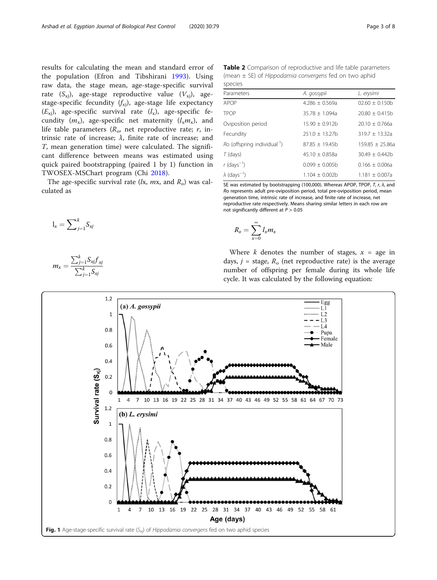<span id="page-2-0"></span>results for calculating the mean and standard error of the population (Efron and Tibshirani [1993](#page-6-0)). Using raw data, the stage mean, age-stage-specific survival rate  $(S_{xi})$ , age-stage reproductive value  $(V_{xi})$ , agestage-specific fecundity  $(f_{xi})$ , age-stage life expectancy  $(E_{x_i})$ , age-specific survival rate  $(l_x)$ , age-specific fecundity  $(m_x)$ , age-specific net maternity  $(l_x m_x)$ , and life table parameters  $(R_{\alpha}$ , net reproductive rate; r, intrinsic rate of increase;  $\lambda$ , finite rate of increase; and T, mean generation time) were calculated. The significant difference between means was estimated using quick paired bootstrapping (paired 1 by 1) function in TWOSEX-MSChart program (Chi [2018\)](#page-6-0).

The age-specific survival rate  $(lx, mx, and R_0)$  was calculated as

$$
l_x = \sum\nolimits_{j=1}^k S_{xj}
$$

$$
m_x = \frac{\sum_{j=1}^k S_{xj} f_{xj}}{\sum_{j=1}^k S_{xj}}
$$

Table 2 Comparison of reproductive and life table parameters (mean ± SE) of Hippodamia convergens fed on two aphid species

| <b>SPLLILS</b>                           |                    |                     |  |  |  |
|------------------------------------------|--------------------|---------------------|--|--|--|
| Parameters                               | A. gossypii        | L. erysimi          |  |  |  |
| APOP                                     | $4.286 + 0.569a$   | $02.60 \pm 0.150$   |  |  |  |
| <b>TPOP</b>                              | $35.78 + 1.094a$   | $20.80 \pm 0.415$ b |  |  |  |
| Oviposition period                       | $15.90 + 0.912h$   | $20.10 \pm 0.766a$  |  |  |  |
| Fecundity                                | $251.0 + 13.27$ b  | $319.7 + 13.32a$    |  |  |  |
| Ro (offspring individual <sup>-1</sup> ) | $87.85 + 19.45h$   | $159.85 + 25.86a$   |  |  |  |
| $T$ (days)                               | $45.10 \pm 0.858a$ | $30.49 \pm 0.442$ b |  |  |  |
| r (days <sup>-1</sup> )                  | $0.099 + 0.005h$   | $0.166 + 0.006a$    |  |  |  |
| $\lambda$ (days <sup>-1</sup> )          | $1.104 + 0.002h$   | $1.181 + 0.007a$    |  |  |  |
|                                          |                    |                     |  |  |  |

SE was estimated by bootstrapping (100,000). Whereas APOP, TPOP, T, r, λ, and Ro represents adult pre-oviposition period, total pre-oviposition period, mean generation time, intrinsic rate of increase, and finite rate of increase, net reproductive rate respectively. Means sharing similar letters in each row are not significantly different at  $P > 0.05$ 

$$
R_o = \sum_{x=0}^{\infty} l_x m_x
$$

Where k denotes the number of stages,  $x = age$  in days,  $j =$  stage,  $R_0$  (net reproductive rate) is the average number of offspring per female during its whole life cycle. It was calculated by the following equation:

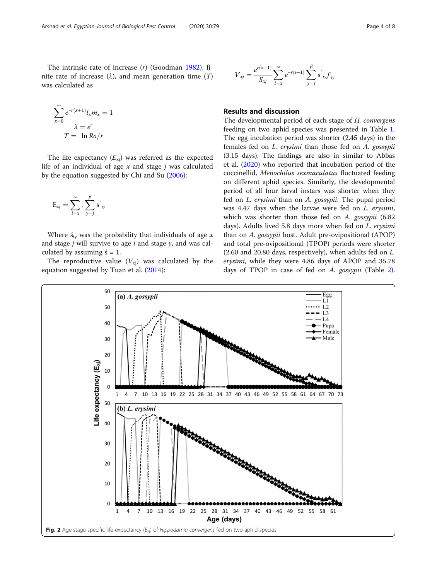<span id="page-3-0"></span>The intrinsic rate of increase (r) (Goodman [1982](#page-6-0)), finite rate of increase  $(\lambda)$ , and mean generation time  $(T)$ was calculated as

$$
\sum_{x=0}^{\infty} e^{-r(x+1)} l_x m_x = 1
$$

$$
\lambda = e^r
$$

$$
T = \ln Ro/r
$$

The life expectancy  $(E_{xi})$  was referred as the expected life of an individual of age  $x$  and stage  $j$  was calculated by the equation suggested by Chi and Su [\(2006\)](#page-6-0):

$$
\mathrm{E}_{x j} = \sum_{i=x}^{\infty} \cdot \sum_{y=j}^{\beta} \mathrm{s}^{'}_{i y}
$$

Where  $\dot{s}_{iv}$  was the probability that individuals of age x and stage  $j$  will survive to age  $i$  and stage  $y$ , and was calculated by assuming  $\acute{s} = 1$ .

The reproductive value  $(V_{xi})$  was calculated by the equation suggested by Tuan et al.  $(2014)$  $(2014)$ :

$$
V_{xj} = \frac{e^{r(x+1)}}{S_{xj}} \sum_{i=x}^{\infty} e^{-r(i+1)} \sum_{y=j}^{\beta} s^{'}_{ij} f_{iy}
$$

# Results and discussion

The developmental period of each stage of H. convergens feeding on two aphid species was presented in Table [1](#page-1-0). The egg incubation period was shorter (2.45 days) in the females fed on L. erysimi than those fed on A. gossypii (3.15 days). The findings are also in similar to Abbas et al. ([2020](#page-6-0)) who reported that incubation period of the coccinellid, Menochilus sexmaculatus fluctuated feeding on different aphid species. Similarly, the developmental period of all four larval instars was shorter when they fed on L. erysimi than on A. gossypii. The pupal period was 4.47 days when the larvae were fed on L. erysimi, which was shorter than those fed on A. gossypii (6.82 days). Adults lived 5.8 days more when fed on *L. erysimi* than on A. gossypii host. Adult pre-ovipositional (APOP) and total pre-ovipositional (TPOP) periods were shorter (2.60 and 20.80 days, respectively), when adults fed on L. erysimi, while they were 4.86 days of APOP and 35.78 days of TPOP in case of fed on A. gossypii (Table [2](#page-2-0)).

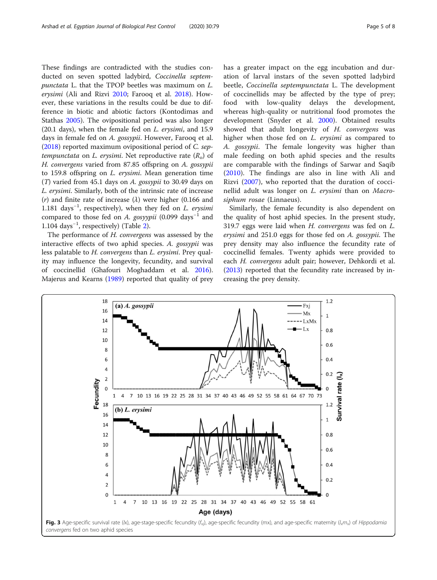<span id="page-4-0"></span>These findings are contradicted with the studies conducted on seven spotted ladybird, Coccinella septempunctata L. that the TPOP beetles was maximum on L. erysimi (Ali and Rizvi [2010](#page-6-0); Farooq et al. [2018\)](#page-6-0). However, these variations in the results could be due to difference in biotic and abiotic factors (Kontodimas and Stathas [2005\)](#page-7-0). The ovipositional period was also longer (20.1 days), when the female fed on  $L$ . erysimi, and 15.9 days in female fed on A. gossypii. However, Farooq et al. ([2018](#page-6-0)) reported maximum ovipositional period of C. septempunctata on L. erysimi. Net reproductive rate  $(R_0)$  of H. convergens varied from 87.85 offspring on A. gossypii to 159.8 offspring on L. erysimi. Mean generation time (T) varied from 45.1 days on A. gossypii to 30.49 days on L. erysimi. Similarly, both of the intrinsic rate of increase (r) and finite rate of increase ( $\lambda$ ) were higher (0.166 and 1.181 days<sup>-1</sup>, respectively), when they fed on *L. erysimi* compared to those fed on *A. govinii* (0.099 days<sup>-1</sup> and compared to those fed on A. gosyypii (0.099 days<sup>-1</sup> and 1.104 days−<sup>1</sup> , respectively) (Table [2\)](#page-2-0).

The performance of H. convergens was assessed by the interactive effects of two aphid species. A. gossypii was less palatable to H. convergens than L. erysimi. Prey quality may influence the longevity, fecundity, and survival of coccinellid (Ghafouri Moghaddam et al. [2016](#page-6-0)). Majerus and Kearns [\(1989](#page-7-0)) reported that quality of prey has a greater impact on the egg incubation and duration of larval instars of the seven spotted ladybird beetle, Coccinella septempunctata L. The development of coccinellids may be affected by the type of prey; food with low-quality delays the development, whereas high-quality or nutritional food promotes the development (Snyder et al. [2000\)](#page-7-0). Obtained results showed that adult longevity of H. convergens was higher when those fed on L. erysimi as compared to A. gossypii. The female longevity was higher than male feeding on both aphid species and the results are comparable with the findings of Sarwar and Saqib ([2010\)](#page-7-0). The findings are also in line with Ali and Rizvi ([2007\)](#page-6-0), who reported that the duration of coccinellid adult was longer on *L. erysimi* than on Macrosiphum rosae (Linnaeus).

Similarly, the female fecundity is also dependent on the quality of host aphid species. In the present study, 319.7 eggs were laid when H. convergens was fed on L. erysimi and 251.0 eggs for those fed on A. gossypii. The prey density may also influence the fecundity rate of coccinellid females. Twenty aphids were provided to each H. convergens adult pair; however, Dehkordi et al. ([2013\)](#page-6-0) reported that the fecundity rate increased by increasing the prey density.

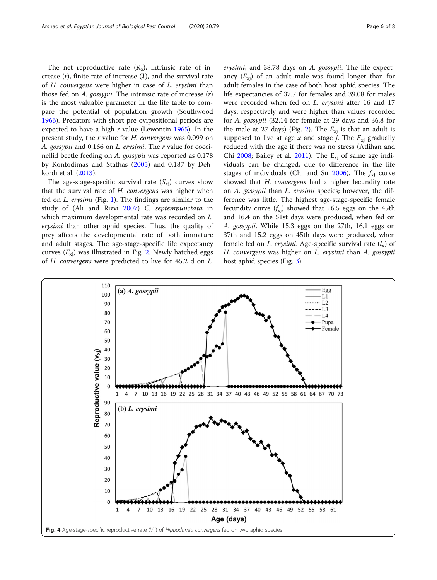<span id="page-5-0"></span>The net reproductive rate  $(R_0)$ , intrinsic rate of increase  $(r)$ , finite rate of increase  $(\lambda)$ , and the survival rate of H. convergens were higher in case of L. erysimi than those fed on A. *gossypii*. The intrinsic rate of increase  $(r)$ is the most valuable parameter in the life table to compare the potential of population growth (Southwood [1966](#page-7-0)). Predators with short pre-ovipositional periods are expected to have a high  $r$  value (Lewontin [1965\)](#page-7-0). In the present study, the r value for H. convergens was 0.099 on A. gossypii and 0.166 on L. erysimi. The r value for coccinellid beetle feeding on A. gossypii was reported as 0.178 by Kontodimas and Stathas [\(2005\)](#page-7-0) and 0.187 by Dehkordi et al. ([2013](#page-6-0)).

The age-stage-specific survival rate  $(S_{xi})$  curves show that the survival rate of H. convergens was higher when fed on L. erysimi (Fig. [1](#page-2-0)). The findings are similar to the study of (Ali and Rizvi [2007](#page-6-0)) C. septempunctata in which maximum developmental rate was recorded on L. erysimi than other aphid species. Thus, the quality of prey affects the developmental rate of both immature and adult stages. The age-stage-specific life expectancy curves  $(E_{xi})$  was illustrated in Fig. [2](#page-3-0). Newly hatched eggs of H. convergens were predicted to live for 45.2 d on L.

erysimi, and 38.78 days on A. gossypii. The life expectancy  $(E_{x_i})$  of an adult male was found longer than for adult females in the case of both host aphid species. The life expectancies of 37.7 for females and 39.08 for males were recorded when fed on *L. erysimi* after 16 and 17 days, respectively and were higher than values recorded for A. gossypii (32.14 for female at 29 days and 36.8 for the male at 27 days) (Fig. [2\)](#page-3-0). The  $E_{xi}$  is that an adult is supposed to live at age x and stage j. The  $E_{xi}$  gradually reduced with the age if there was no stress (Atlihan and Chi  $2008$ ; Bailey et al. [2011](#page-6-0)). The  $E_{xi}$  of same age individuals can be changed, due to difference in the life stages of individuals (Chi and Su  $2006$ ). The  $f_{xi}$  curve showed that H. convergens had a higher fecundity rate on A. gossypii than L. erysimi species; however, the difference was little. The highest age-stage-specific female fecundity curve  $(f_{xi})$  showed that 16.5 eggs on the 45th and 16.4 on the 51st days were produced, when fed on A. gossypii. While 15.3 eggs on the 27th, 16.1 eggs on 37th and 15.2 eggs on 45th days were produced, when female fed on *L. erysimi*. Age-specific survival rate  $(l_x)$  of H. convergens was higher on L. erysimi than A. gossypii host aphid species (Fig. [3\)](#page-4-0).

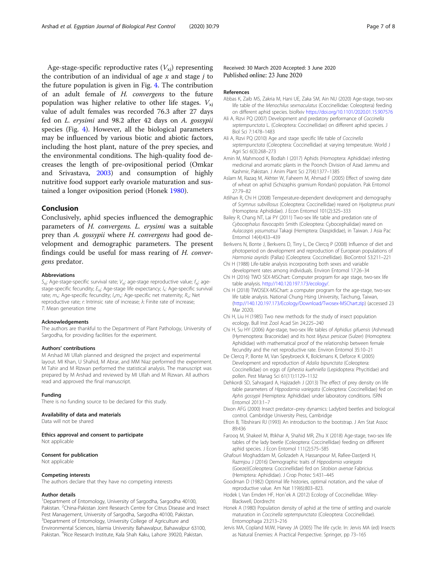<span id="page-6-0"></span>Age-stage-specific reproductive rates  $(V_{xi})$  representing the contribution of an individual of age  $x$  and stage  $j$  to the future population is given in Fig. [4](#page-5-0). The contribution of an adult female of H. convergens to the future population was higher relative to other life stages.  $V_{xi}$ value of adult females was recorded 76.3 after 27 days fed on L. erysimi and 98.2 after 42 days on A. gossypii species (Fig. [4\)](#page-5-0). However, all the biological parameters may be influenced by various biotic and abiotic factors, including the host plant, nature of the prey species, and the environmental conditions. The high-quality food decreases the length of pre-ovipositional period (Omkar and Srivastava, [2003](#page-7-0)) and consumption of highly nutritive food support early ovariole maturation and sustained a longer oviposition period (Honek 1980).

## Conclusion

Conclusively, aphid species influenced the demographic parameters of H. convergens. L. erysimi was a suitable prey than A. gossypii where H. convergens had good development and demographic parameters. The present findings could be useful for mass rearing of H. convergens predator.

#### **Abbreviations**

 $S_{xi}$ : Age-stage-specific survival rate;  $V_{xi}$ : age-stage reproductive value;  $f_{xi}$ : agestage-specific fecundity;  $E_{xi}$ : Age-stage life expectancy;  $I_x$ : Age-specific survival rate;  $m_x$ : Age-specific fecundity;  $l_x m_x$ : Age-specific net maternity;  $R_0$ : Net reproductive rate; r: Intrinsic rate of increase; λ: Finite rate of increase; T: Mean generation time

#### Acknowledgements

The authors are thankful to the Department of Plant Pathology, University of Sargodha, for providing facilities for the experiment.

#### Authors' contributions

M Arshad MI Ullah planned and designed the project and experimental layout. MI Khan, U Shahid, M Abrar, and MM Niaz performed the experiment. M Tahir and M RIzwan performed the statistical analysis. The manuscript was prepared by M Arshad and reviewed by MI Ullah and M Rizwan. All authors read and approved the final manuscript.

#### Funding

There is no funding source to be declared for this study.

#### Availability of data and materials

Data will not be shared

Ethics approval and consent to participate Not applicable

#### Consent for publication

Not applicable

#### Competing interests

The authors declare that they have no competing interests

#### Author details

<sup>1</sup>Department of Entomology, University of Sargodha, Sargodha 40100, Pakistan. <sup>2</sup>China-Pakistan Joint Research Centre for Citrus Disease and Insect Pest Management, University of Sargodha, Sargodha 40100, Pakistan. <sup>3</sup>Department of Entomology, University College of Agriculture and Environmental Sciences, Islamia University Bahawalpur, Bahawalpur 63100, Pakistan. <sup>4</sup>Rice Research Institute, Kala Shah Kaku, Lahore 39020, Pakistan.

## Received: 30 March 2020 Accepted: 3 June 2020 Published online: 23 June 2020

## References

- Abbas K, Zaib MS, Zakria M, Hani UE, Zaka SM, Ain NU (2020) Age-stage, two-sex life table of the Menochilus sexmaculatus (Coccinellidae: Coleoptera) feeding on different aphid species. bioRxiv <https://doi.org/10.1101/2020.01.15.907576>
- Ali A, Rizvi PQ (2007) Development and predatory performance of Coccinella septempunctata L. (Coleoptera: Coccinellidae) on different aphid species. J Biol Sci 7:1478–1483
- Ali A, Rizvi PQ (2010) Age and stage specific life table of Coccinella septempunctata (Coleoptera: Coccinellidae) at varying temperature. World J Agri Sci 6(3):268–273
- Amin M, Mahmood K, Bodlah I (2017) Aphids (Homoptera: Aphididae) infesting medicinal and aromatic plants in the Poonch Division of Azad Jammu and Kashmir, Pakistan. J Anim Plant Sci 27(4):1377–1385
- Aslam M, Razaq M, Akhter W, Faheem M, Ahmad F (2005) Effect of sowing date of wheat on aphid (Schizaphis gramium Rondani) population. Pak Entomol 27:79–82
- Atlihan R, Chi H (2008) Temperature-dependent development and demography of Scymnus subvillosus (Coleoptera: Coccinellidae) reared on Hyalopterus pruni (Homoptera: Aphididae). J Econ Entomol 101(2):325–333
- Bailey R, Chang NT, Lai PY (2011) Two-sex life table and predation rate of Cybocephalus flavocapitis Smith (Coleoptera: Cybocephalidae) reared on Aulacaspis yasumatsui Takagi (Hemiptera: Diaspididae), in Taiwan. J Asia Pac Entomol 14(4):433–439
- Berkvens N, Bonte J, Berkvens D, Tirry L, De Clercq P (2008) Influence of diet and photoperiod on development and reproduction of European populations of Harmonia axyridis (Pallas) (Coleoptera: Coccinellidae). BioControl 53:211–221
- Chi H (1988) Life-table analysis incorporating both sexes and variable development rates among individuals. Environ Entomol 17:26–34
- Chi H (2016) TWO SEX-MSChart: Computer program for age stage, two-sex life table analysis. [http://140.120.197.173/ecology/.](http://140.120.197.173/ecology/)
- Chi H (2018) TWOSEX-MSChart: a computer program for the age-stage, two-sex life table analysis. National Chung Hsing University, Taichung, Taiwan, (<http://140.120.197.173/Ecology/Download/Twosex-MSChart.zip>) (accessed 23 Mar 2020).
- Chi H, Liu H (1985) Two new methods for the study of insect population ecology. Bull Inst Zool Acad Sin 24:225–240
- Chi H, Su HY (2006) Age-stage, two-sex life tables of Aphidius gifuensis (Ashmead) (Hymenoptera: Braconidae) and its host Myzus persicae (Sulzer) (Homoptera: Aphididae) with mathematical proof of the relationship between female fecundity and the net reproductive rate. Environ Entomol 35:10–21
- De Clercq P, Bonte M, Van Speybroeck K, Bolckmans K, Deforce K (2005) Development and reproduction of Adalia bipunctata (Coleoptera: Coccinellidae) on eggs of Ephestia kuehniella (Lepidoptera: Phycitidae) and pollen. Pest Manag Sci 61(11):1129–1132
- Dehkordi SD, Sahragard A, Hajizadeh J (2013) The effect of prey density on life table parameters of Hippodamia variegata (Coleoptera: Coccinellidae) fed on Aphis gossypii (Hemiptera: Aphididae) under laboratory conditions. ISRN Entomol 2013:1–7
- Dixon AFG (2000) Insect predator–prey dynamics: Ladybird beetles and biological control. Cambridge University Press, Cambridge
- Efron B, Tibshirani RJ (1993) An introduction to the bootstrap. J Am Stat Assoc 89:436
- Farooq M, Shakeel M, Iftikhar A, Shahid MR, Zhu X (2018) Age-stage, two-sex life tables of the lady beetle (Coleoptera: Coccinellidae) feeding on different aphid species. J Econ Entomol 111(2):575–585
- Ghafouri Moghaddam M, Golizadeh A, Hassanpour M, Rafiee-Dastjerdi H, Razmjou J (2016) Demographic traits of Hippodamia variegata (Goeze)(Coleoptera: Coccinellidae) fed on Sitobion avenae Fabricius (Hemiptera: Aphididae). J Crop Protec 5:431–445
- Goodman D (1982) Optimal life histories, optimal notation, and the value of reproductive value. Am Nat 119(6):803–823.
- Hodek I, Van Emden HF, Honˇek A (2012) Ecology of Coccinellidae. Wiley-Blackwell, Dordrecht
- Honek A (1980) Population density of aphid at the time of settling and ovariole maturation in Coccinella septempunctata (Coleoptera: Coccinellidae). Entomophaga 23:213–216
- Jervis MA, Copland MJW, Harvey JA (2005) The life cycle. In: Jervis MA (ed) Insects as Natural Enemies: A Practical Perspective. Springer, pp 73–165